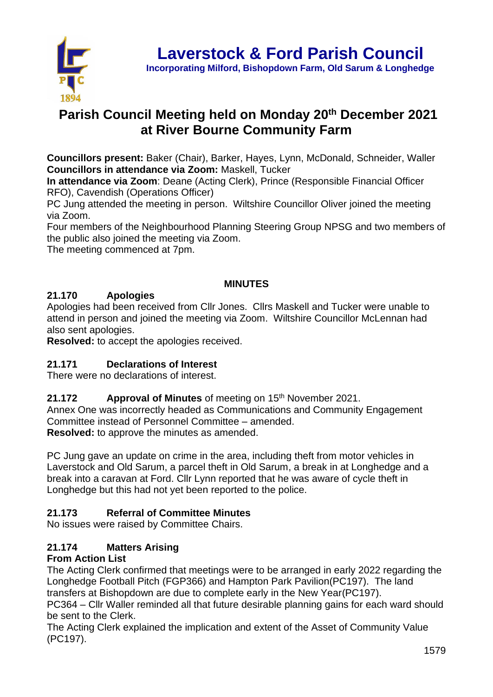

# **Parish Council Meeting held on Monday 20th December 2021 at River Bourne Community Farm**

**Councillors present:** Baker (Chair), Barker, Hayes, Lynn, McDonald, Schneider, Waller **Councillors in attendance via Zoom:** Maskell, Tucker

**In attendance via Zoom**: Deane (Acting Clerk), Prince (Responsible Financial Officer RFO), Cavendish (Operations Officer)

PC Jung attended the meeting in person. Wiltshire Councillor Oliver joined the meeting via Zoom.

Four members of the Neighbourhood Planning Steering Group NPSG and two members of the public also joined the meeting via Zoom.

The meeting commenced at 7pm.

### **MINUTES**

# **21.170 Apologies**

Apologies had been received from Cllr Jones. Cllrs Maskell and Tucker were unable to attend in person and joined the meeting via Zoom. Wiltshire Councillor McLennan had also sent apologies.

**Resolved:** to accept the apologies received.

# **21.171 Declarations of Interest**

There were no declarations of interest.

# **21.172 Approval of Minutes** of meeting on 15<sup>th</sup> November 2021.

Annex One was incorrectly headed as Communications and Community Engagement Committee instead of Personnel Committee – amended. **Resolved:** to approve the minutes as amended.

PC Jung gave an update on crime in the area, including theft from motor vehicles in Laverstock and Old Sarum, a parcel theft in Old Sarum, a break in at Longhedge and a break into a caravan at Ford. Cllr Lynn reported that he was aware of cycle theft in Longhedge but this had not yet been reported to the police.

# **21.173 Referral of Committee Minutes**

No issues were raised by Committee Chairs.

# **21.174 Matters Arising**

# **From Action List**

The Acting Clerk confirmed that meetings were to be arranged in early 2022 regarding the Longhedge Football Pitch (FGP366) and Hampton Park Pavilion(PC197). The land transfers at Bishopdown are due to complete early in the New Year(PC197).

PC364 – Cllr Waller reminded all that future desirable planning gains for each ward should be sent to the Clerk.

The Acting Clerk explained the implication and extent of the Asset of Community Value (PC197).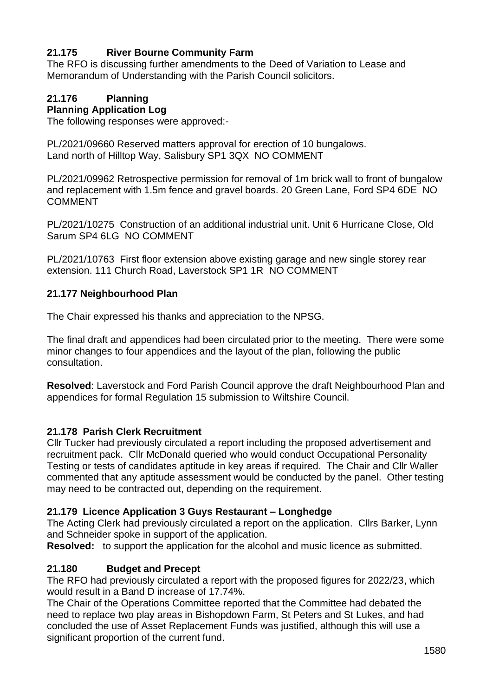# **21.175 River Bourne Community Farm**

The RFO is discussing further amendments to the Deed of Variation to Lease and Memorandum of Understanding with the Parish Council solicitors.

# **21.176 Planning**

# **Planning Application Log**

The following responses were approved:-

PL/2021/09660 Reserved matters approval for erection of 10 bungalows. Land north of Hilltop Way, Salisbury SP1 3QX NO COMMENT

PL/2021/09962 Retrospective permission for removal of 1m brick wall to front of bungalow and replacement with 1.5m fence and gravel boards. 20 Green Lane, Ford SP4 6DE NO COMMENT

PL/2021/10275 Construction of an additional industrial unit. Unit 6 Hurricane Close, Old Sarum SP4 6LG NO COMMENT

PL/2021/10763 First floor extension above existing garage and new single storey rear extension. 111 Church Road, Laverstock SP1 1R NO COMMENT

### **21.177 Neighbourhood Plan**

The Chair expressed his thanks and appreciation to the NPSG.

The final draft and appendices had been circulated prior to the meeting. There were some minor changes to four appendices and the layout of the plan, following the public consultation.

**Resolved**: Laverstock and Ford Parish Council approve the draft Neighbourhood Plan and appendices for formal Regulation 15 submission to Wiltshire Council.

### **21.178 Parish Clerk Recruitment**

Cllr Tucker had previously circulated a report including the proposed advertisement and recruitment pack. Cllr McDonald queried who would conduct Occupational Personality Testing or tests of candidates aptitude in key areas if required. The Chair and Cllr Waller commented that any aptitude assessment would be conducted by the panel. Other testing may need to be contracted out, depending on the requirement.

### **21.179 Licence Application 3 Guys Restaurant – Longhedge**

The Acting Clerk had previously circulated a report on the application. Cllrs Barker, Lynn and Schneider spoke in support of the application.

**Resolved:** to support the application for the alcohol and music licence as submitted.

# **21.180 Budget and Precept**

The RFO had previously circulated a report with the proposed figures for 2022/23, which would result in a Band D increase of 17.74%.

The Chair of the Operations Committee reported that the Committee had debated the need to replace two play areas in Bishopdown Farm, St Peters and St Lukes, and had concluded the use of Asset Replacement Funds was justified, although this will use a significant proportion of the current fund.